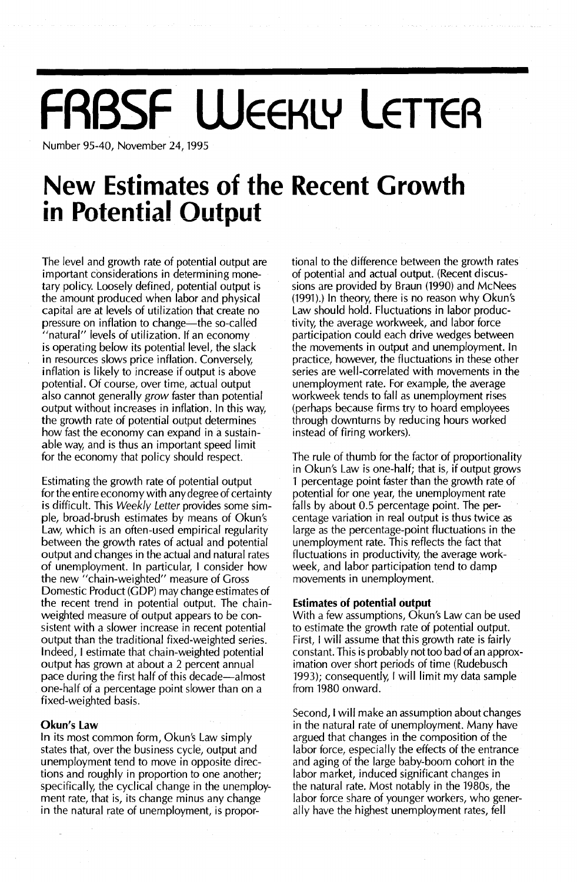# **FRBSF WEEKLY LETTER**

Number 95-40, November 24, 1995

# **New Estimates of the Recent Growth in Potential Output**

The level and growth rate of potential output are important considerations in determining monetary policy. Loosely defined, potential output is the amount produced when labor and physical capital are at levels of utilization that create no pressure on inflation to change—the so-called "natural" levels of utilization. If an economy is operating below its potential level, the slack in resources slows price inflation. Conversely, inflation is likely to increase if output is above potential. Of course, over time, actual output also cannot generally grow faster than potential output without increases in inflation. In this way, the growth rate of potential output determines how fast the economy can expand in a sustainable way, and is thus an important speed limit for the economy that policy should respect.

Estimating the growth rate of potential output for the entire economy with any degree of certainty is difficult. This Weekly Letter provides some simple, broad-brush estimates by means of Okun's Law, which is an often-used empirical regularity between the growth rates of actual and potential output and changes in the actual and natural rates of unemployment. In particular, I consider how the new "chain-weighted" measure of Gross Domestic Product (GOP) may change estimates of the recent trend in potential output. The chainweighted measure of output appears to be consistent with a slower increase in recent potential output than the traditional fixed-weighted series. Indeed, I estimate that chain-weighted potential output has grown at about a 2 percent annual pace during the first half of this decade-almost one-half of a percentage point slower than on a fixed-weighted basis.

#### **Okun's Law**

In its most common form, Okun's Law simply states that, over the business cycle, output and unemployment tend to move in opposite directions and roughly in proportion to one another; specifically, the cyclical change in the unemployment rate, that is, its change minus any change in the natural rate of unemployment, is proportional to the difference between the growth rates of potential and actual output. (Recent discussions are provided by Braun (1990) and McNees (1991).) In theory, there is no reason why Okun's Law should hold. Fluctuations in labor productivity, the average workweek, and labor force participation could each drive wedges between the movements in output and unemployment. In practice, however, the fluctuations in these other series are well-correlated with movements in the unemployment rate. For example, the average workweek tends to fall as unemployment rises (perhaps because firms try to hoard employees through downturns by reducing hours worked instead of firing workers).

The rule of thumb for the factor of proportionality in Okun's Law is one-half; that is, if output grows 1 percentage point faster than the growth rate of potential for one year, the unemployment rate falls by about 0.5 percentage point. The percentage variation in real output is thus twice as large as the percentage-point fluctuations in the unemployment rate. This reflects the fact that fluctuations in productivity, the average workweek, and labor participation tend to damp movements in unemployment.

#### **Estimates of potential output**

With a few assumptions, Okun's Law can be used to estimate the growth rate of potential output. First, I will assume that this growth rate is fairly constant. This is probably not too bad of an approximation over short periods of time (Rudebusch 1993); consequently, I will limit my data sample from 1980 onward.

Second, I will make an assumption about changes in the natural rate of unemployment. Many have argued that changes in the composition of the labor force, especially the effects of the entrance and aging of the large baby-boom cohort in the labor market, induced significant changes in the natural rate. Most notably in the 1980s, the labor force share of younger workers, who generally have the highest unemployment rates, fell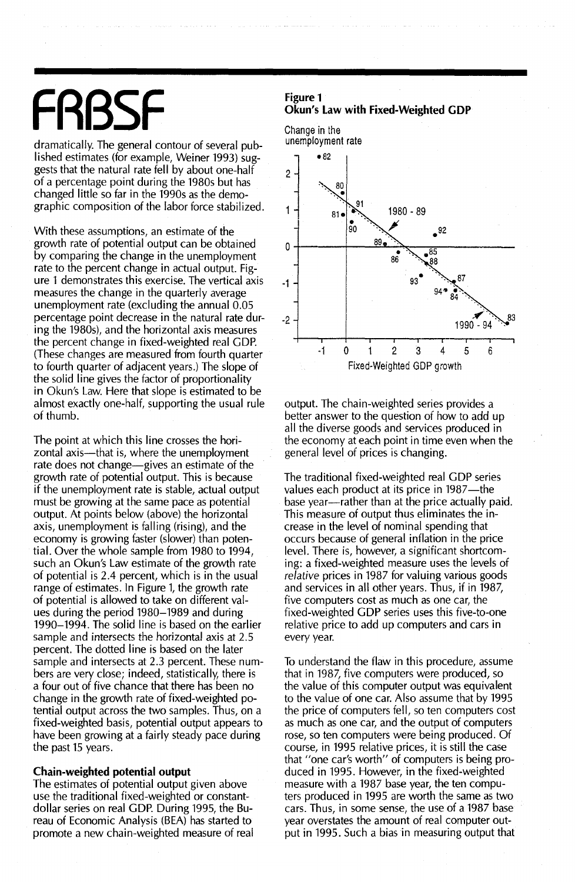# **FRBSF**

dramatically. The general contour of several published estimates (for example, Weiner 1993) suggests that the natural rate fell by about one-half of a percentage point during the 1980s but has changed little so far in the 1990s as the demographic composition of the labor force stabilized.

With these assumptions, an estimate of the growth rate of potential output can be obtained by comparing the change in the unemployment rate to the percent change in actual output. Figure 1 demonstrates this exercise. The vertical axis measures the change in the quarterly average unemployment rate (excluding the annual 0.05 percentage point decrease in the natural rate during the 1980s), and the horizontal axis measures the percent change in fixed-weighted real GOP. (These changes are measured from fourth quarter to fourth quarter of adjacent years.) The slope of the solid line gives the factor of proportionality in Okun's Law. Here that slope is estimated to be almost exactly one-half, supporting the usual rule of thumb.

The point at which this line crosses the horizontal axis—that is, where the unemployment rate does not change-gives an estimate of the growth rate of potential output. This is because if the unemployment rate is stable, actual output must be growing at the same pace as potential output. At points below (above) the horizontal axis, unemployment is falling (rising), and the economy is growing faster (slower) than potential. Over the whole sample from 1980 to 1994, such an Okun's Law estimate of the growth rate of potential is 2.4 percent, which is in the usual range of estimates. In Figure 1, the growth rate of potential is allowed to take on different values during the period 1980-1989 and during 1990-1994. The solid line is based on the earlier sample and intersects the horizontal axis at 2.5 percent. The dotted line is based on the later sample and intersects at 2.3 percent. These numbers are very close; indeed, statistically, there is a four out of five chance that there has been no change in the growth rate of fixed-weighted potential output across the two samples. Thus, on a fixed-weighted basis, potential output appears to have been growing at a fairly steady pace during the past 15 years.

### **Chain-weighted potential output**

The estimates of potential output given above use the traditional fixed-weighted or constantdollar series on real GOP. Ouring 1995, the Bureau of Economic Analysis (BEA) has started to promote a new chain-weighted measure of real

# **Figure 1 Okun's Law with Fixed-Weighted GDP**



output. The chain-weighted series provides a better answer to the question of how to add up all the diverse goods and services produced in the economy at each point in time even when the general level of prices is changing.

The traditional fixed-weighted real GOP series values each product at its price in 1987—the base year-rather than at the price actually paid. This measure of output thus eliminates the increase in the level of nominal spending that occurs because of general inflation in the price level. There is, however, a significant shortcoming: a fixed-weighted measure uses the levels of *relative* prices in 1987 for valuing various goods and services in all other years. Thus, if in 1987, five computers cost as much as one car, the fixed-weighted GOP series uses this five-to-one relative price to add up computers and cars in every year.

To understand the flaw in this procedure, assume that in 1987, five computers were produced, so the value of this computer output was equivalent to the value of one car. Also assume that by 1995 the price of computers fell, so ten computers cost as much as one car, and the output of computers rose, so ten computers were being produced. Of course, in 1995 relative prices, it is still the case that "one car's worth" of computers is being produced in 1995. However, in the fixed-weighted measure with a 1987 base year, the ten computers produced in 1995 are worth the same as two cars. Thus, in some sense, the use of a 1987 base year overstates the amount of real computer output in 1995. Such a bias in measuring output that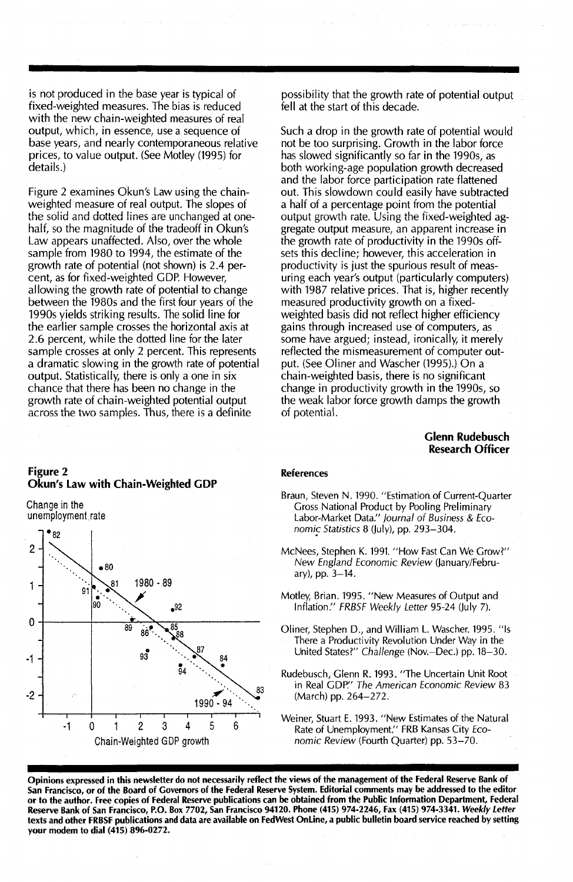is not produced in the base year is typical of fixed-weighted measures. The bias is reduced with the new chain-weighted measures of real output, which, in essence, use a sequence of base years, and nearly contemporaneous relative prices, to value output. (See Motley (1995) for details.)

Figure 2 examines Okun's Law using the chainweighted measure of real output. The slopes of the solid and dotted lines are unchanged at onehalf, so the magnitude of the tradeoff in Okun's Law appears unaffected. Also, over the whole sample from 1980 to 1994, the estimate of the growth rate of potential (not shown) is 2.4 percent, as for fixed-weighted GDP. However, allowing the growth rate of potential to change between the 1980s and the first four years of the 1990s yields striking results. The solid line for the earlier sample crosses the horizontal axis at 2.6 percent, while the dotted line for the later sample crosses at only 2 percent. This represents a dramatic slowing in the growth rate of potential output. Statistically, there is only a one in six chance that there has been no change in the growth rate of chain-weighted potential output across the two samples. Thus, there is a definite

## Figure 2 Okun's Law with Chain-Weighted GDP

Change in the unemployment rate



possibility that the growth rate of potential output fell at the start of this decade.

Such a drop in the growth rate of potential would not be too surprising. Growth in the labor force has slowed significantly so far in the 1990s, as both working-age population growth decreased and the labor force participation rate flattened out. This slowdown could easily have subtracted a half of a percentage point from the potential output growth rate. Using the fixed-weighted aggregate output measure, an apparent increase in the growth rate of productivity in the 1990s offsets this decline; however, this acceleration in productivity is just the spurious result of measuring each year's output (particularly computers) with 1987 relative prices. That is, higher recently measured productivity growth on a fixedweighted basis did not reflect higher efficiency gains through increased use of computers, as some have argued; instead, ironically, it merely reflected the mismeasurement of computer output. (See Oliner and Wascher (1995).) On a chain-weighted basis, there is no significant change in productivity growth in the 1990s, so the weak labor force growth damps the growth of potential.

## Glenn Rudebusch Research Officer

### References

Braun, Steven N. 1990. "Estimation of Current-Quarter Gross National Product by Pooling Preliminary Labor-Market Data." Journal of Business & Economic Statistics 8 (July), pp. 293-304.

McNees, Stephen K. 1991. "How Fast Can We Grow?" New England Economic Review (January/February), pp. 3-14.

- Motley, Brian. 1995. "New Measures of Output and Inflation." FRBSF Weekly Letter 95-24 (July 7).
- Oliner, Stephen D., and William L. Wascher. 1995. "Is There a Productivity Revolution Under Way in the United States?" Challenge (Nov.-Dec.) pp. 18-30.

Rudebusch, Glenn R. 1993. "The Uncertain Unit Root in Real GDP:' The American Economic Review 83 (March) pp. 264-272.

Opinions expressed in this newsletter do not necessarily reflect the views of the management of the Federal Reserve Bank of San Francisco, or of the Board of Governors of the Federal Reserve System. Editorial comments may be addressed to the editor or to the author. Free copies of Federal Reserve publications can be obtained from the Public Information Department, Federal Reserve Bank of San Francisco, P.O. Box 7702, San Francisco 94120. Phone (415) 974-2246, Fax (415) 974-3341. *Weekly Letter* texts and other FRBSF publications and data are available on FedWest Online, a public bulletin board service reached by setting your modem to dial (415) 896-0272.

**<sup>6</sup>** Weiner, Stuart E. 1993. "New Estimates of the Natural<br>6 Rate of Unemployment." FRB Kansas City Economic Review (Fourth Quarter) pp. 53-70.